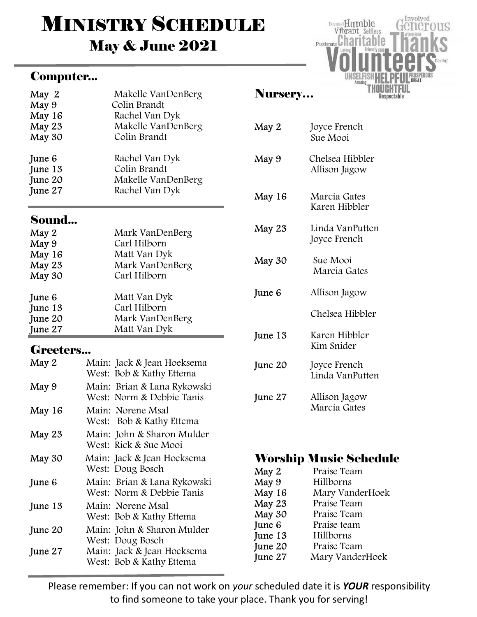# **MINISTRY SCHEDULE** May & June 2021

## Computer...

| May 2   | Makelle VanDenBerg |
|---------|--------------------|
| May 9   | Colin Brandt       |
| May 16  | Rachel Van Dyk     |
| May 23  | Makelle VanDenBerg |
| May 30  | Colin Brandt       |
| June 6  | Rachel Van Dyk     |
| June 13 | Colin Brandt       |
| June 20 | Makelle VanDenBerg |
| June 27 | Rachel Van Dyk     |

## Sound...

| May 2<br>May 9<br>May 16<br>May 23<br>May 30 | Mark VanDenBerg<br>Carl Hilborn<br>Matt Van Dyk<br>Mark VanDenBerg<br>Carl Hilborn |
|----------------------------------------------|------------------------------------------------------------------------------------|
| June 6                                       | Matt Van Dyk                                                                       |
| June 13                                      | Carl Hilborn                                                                       |
| June 20                                      | Mark VanDenBerg                                                                    |
| June 27                                      | Matt Van Dyk                                                                       |

## Greeters...

| May 2   | Main: Jack & Jean Hoeksema<br>West: Bob & Kathy Ettema   |
|---------|----------------------------------------------------------|
| May 9   | Main: Brian & Lana Rykowski<br>West: Norm & Debbie Tanis |
| May 16  | Main: Norene Msal<br>West: Bob & Kathy Ettema            |
| May 23  | Main: John & Sharon Mulder<br>West: Rick & Sue Mooi      |
| May 30  | Main: Jack & Jean Hoeksema<br>West: Doug Bosch           |
| June 6  | Main: Brian & Lana Rykowski<br>West: Norm & Debbie Tanis |
| June 13 | Main: Norene Msal<br>West: Bob & Kathy Ettema            |
| June 20 | Main: John & Sharon Mulder<br>West: Doug Bosch           |
| June 27 | Main: Jack & Jean Hoeksema<br>West: Bob & Kathy Ettema   |

#### Nursery…

| May 2   | Joyce French<br>Sue Mooi         |
|---------|----------------------------------|
| May 9   | Chelsea Hibbler<br>Allison Jagow |
| May 16  | Marcia Gates<br>Karen Hibbler    |
| May 23  | Linda VanPutten<br>Joyce French  |
| May 30  | Sue Mooi<br>Marcia Gates         |
| June 6  | Allison Jagow                    |
|         | Chelsea Hibbler                  |
| June 13 | Karen Hibbler<br>Kim Snider      |
| June 20 | Joyce French<br>Linda VanPutten  |
| June 27 | Allison Jagow<br>Marcia Gates    |

Involved

Respectable

US

Devoted Humble

Vibrant Selfless Passionate Charitable

# Worship Music Schedule

| May 2   | Praise Team     |
|---------|-----------------|
| May 9   | Hillborns       |
| May 16  | Mary VanderHoek |
| May 23  | Praise Team     |
| May 30  | Praise Team     |
| June 6  | Praise team     |
| June 13 | Hillborns       |
| June 20 | Praise Team     |
| June 27 | Mary VanderHoek |

Please remember: If you can not work on your scheduled date it is YOUR responsibility to find someone to take your place. Thank you for serving!